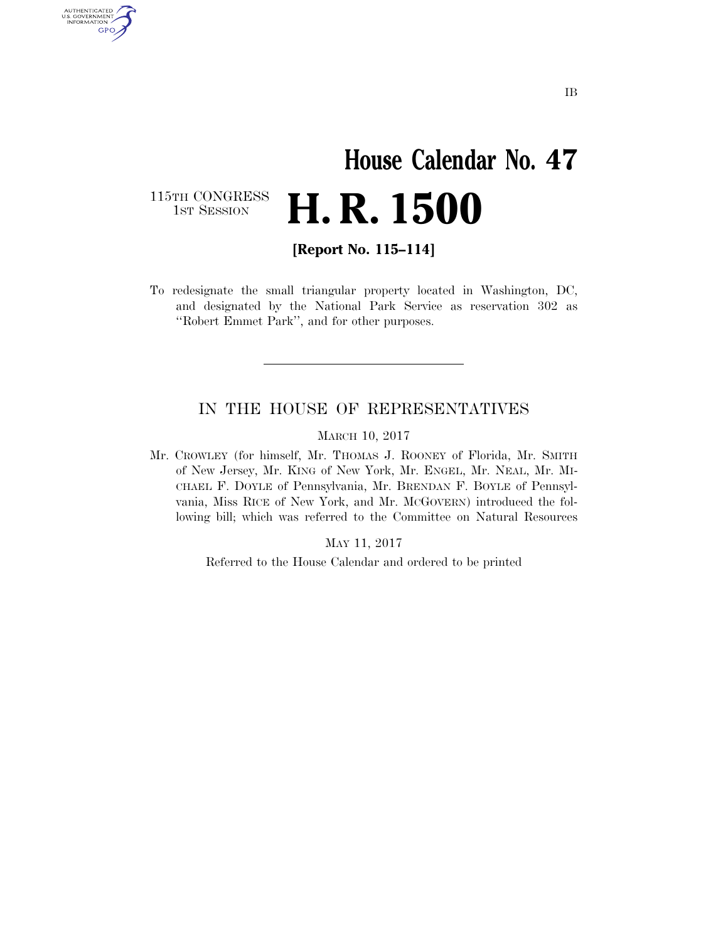# **House Calendar No. 47 H. R. 1500**

115TH CONGRESS<br>1st Session

AUTHENTICATED<br>U.S. GOVERNMENT<br>INFORMATION GPO

**[Report No. 115–114]** 

To redesignate the small triangular property located in Washington, DC, and designated by the National Park Service as reservation 302 as ''Robert Emmet Park'', and for other purposes.

### IN THE HOUSE OF REPRESENTATIVES

MARCH 10, 2017

Mr. CROWLEY (for himself, Mr. THOMAS J. ROONEY of Florida, Mr. SMITH of New Jersey, Mr. KING of New York, Mr. ENGEL, Mr. NEAL, Mr. MI-CHAEL F. DOYLE of Pennsylvania, Mr. BRENDAN F. BOYLE of Pennsylvania, Miss RICE of New York, and Mr. MCGOVERN) introduced the following bill; which was referred to the Committee on Natural Resources

MAY 11, 2017

Referred to the House Calendar and ordered to be printed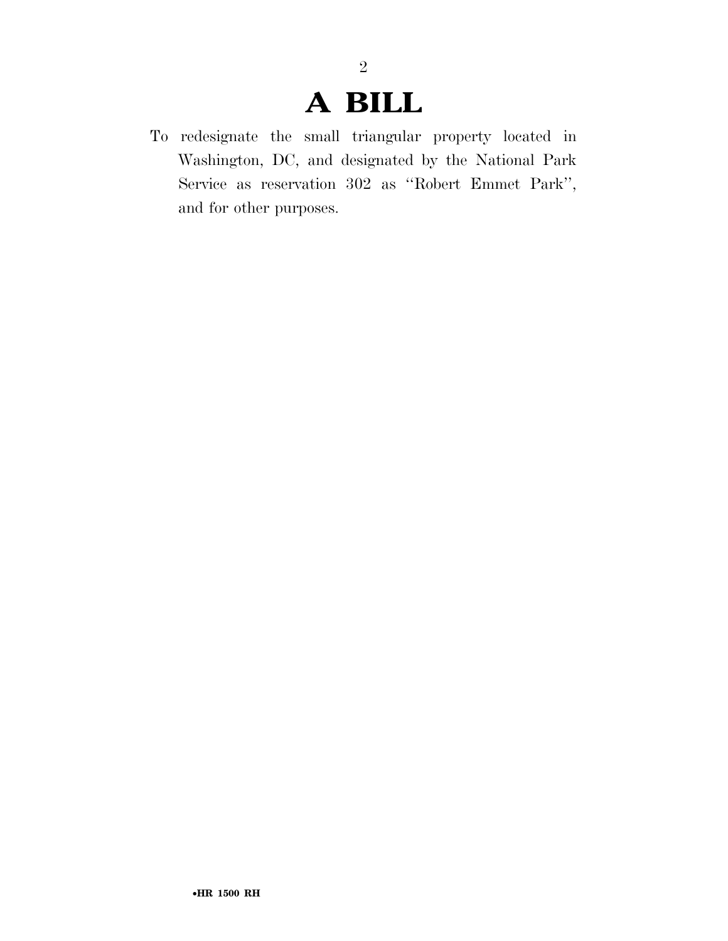## **A BILL**

To redesignate the small triangular property located in Washington, DC, and designated by the National Park Service as reservation 302 as ''Robert Emmet Park'', and for other purposes.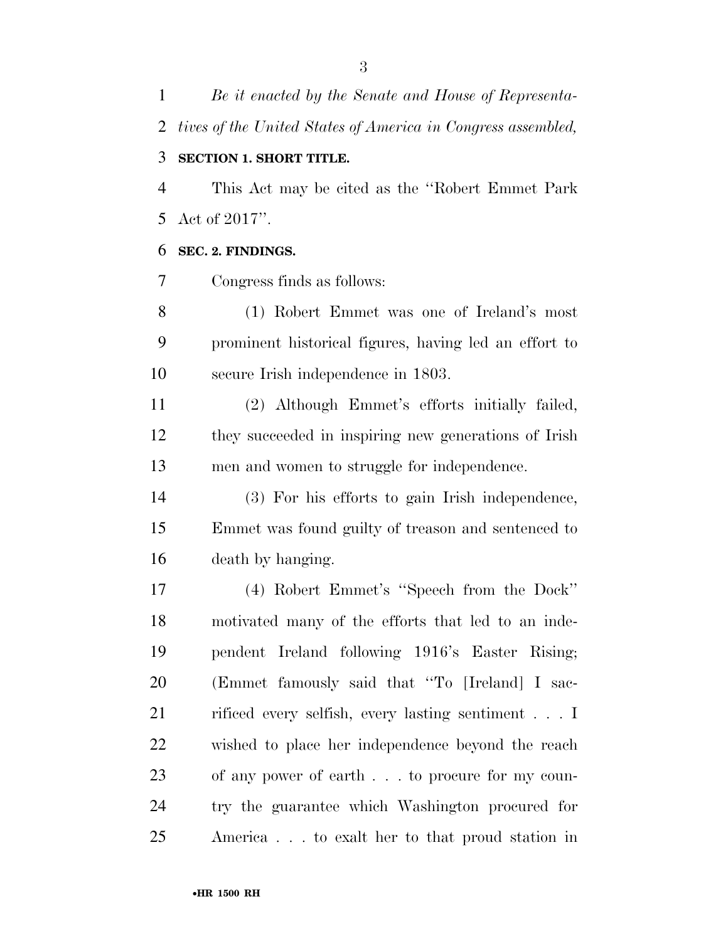*Be it enacted by the Senate and House of Representa-tives of the United States of America in Congress assembled,* 

### **SECTION 1. SHORT TITLE.**

 This Act may be cited as the ''Robert Emmet Park Act of 2017''.

#### **SEC. 2. FINDINGS.**

Congress finds as follows:

 (1) Robert Emmet was one of Ireland's most prominent historical figures, having led an effort to secure Irish independence in 1803.

 (2) Although Emmet's efforts initially failed, they succeeded in inspiring new generations of Irish men and women to struggle for independence.

 (3) For his efforts to gain Irish independence, Emmet was found guilty of treason and sentenced to death by hanging.

 (4) Robert Emmet's ''Speech from the Dock'' motivated many of the efforts that led to an inde- pendent Ireland following 1916's Easter Rising; (Emmet famously said that ''To [Ireland] I sac- rificed every selfish, every lasting sentiment . . . I wished to place her independence beyond the reach of any power of earth . . . to procure for my coun- try the guarantee which Washington procured for America . . . to exalt her to that proud station in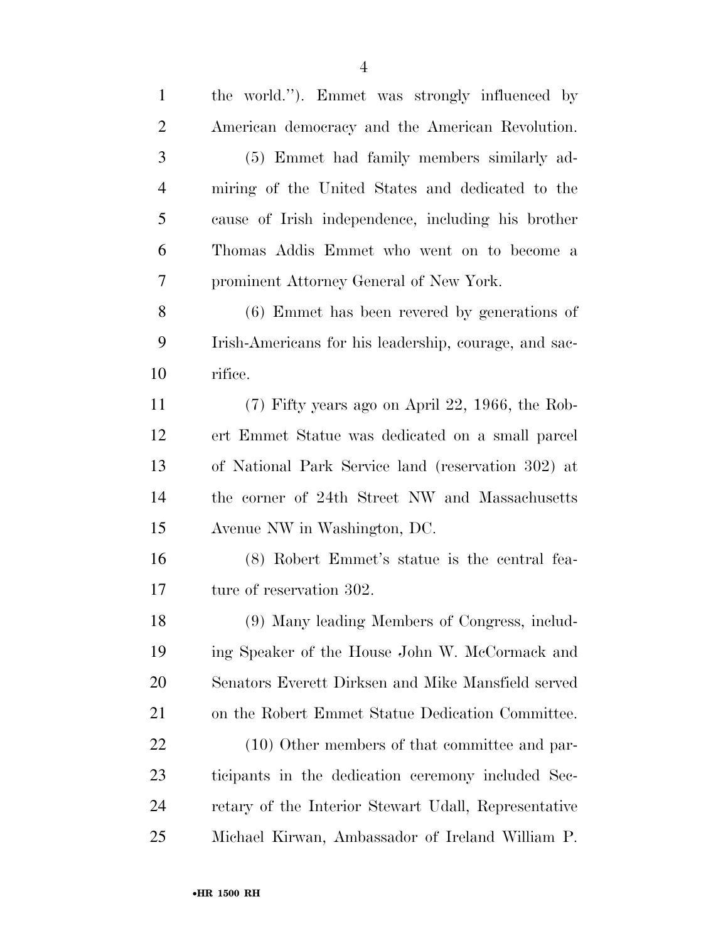| $\mathbf{1}$   | the world."). Emmet was strongly influenced by        |
|----------------|-------------------------------------------------------|
| $\overline{2}$ | American democracy and the American Revolution.       |
| 3              | (5) Emmet had family members similarly ad-            |
| $\overline{4}$ | miring of the United States and dedicated to the      |
| 5              | cause of Irish independence, including his brother    |
| 6              | Thomas Addis Emmet who went on to become a            |
| 7              | prominent Attorney General of New York.               |
| 8              | (6) Emmet has been revered by generations of          |
| 9              | Irish-Americans for his leadership, courage, and sac- |
| 10             | rifice.                                               |
| 11             | $(7)$ Fifty years ago on April 22, 1966, the Rob-     |
| 12             | ert Emmet Statue was dedicated on a small parcel      |
| 13             | of National Park Service land (reservation 302) at    |
| 14             | the corner of 24th Street NW and Massachusetts        |
| 15             | Avenue NW in Washington, DC.                          |
| 16             | (8) Robert Emmet's statue is the central fea-         |
| 17             | ture of reservation 302.                              |
| 18             | (9) Many leading Members of Congress, includ-         |
| 19             | ing Speaker of the House John W. McCormack and        |
| 20             | Senators Everett Dirksen and Mike Mansfield served    |
| 21             | on the Robert Emmet Statue Dedication Committee.      |
| 22             | (10) Other members of that committee and par-         |
| 23             | ticipants in the dedication ceremony included Sec-    |
| 24             | retary of the Interior Stewart Udall, Representative  |
| 25             | Michael Kirwan, Ambassador of Ireland William P.      |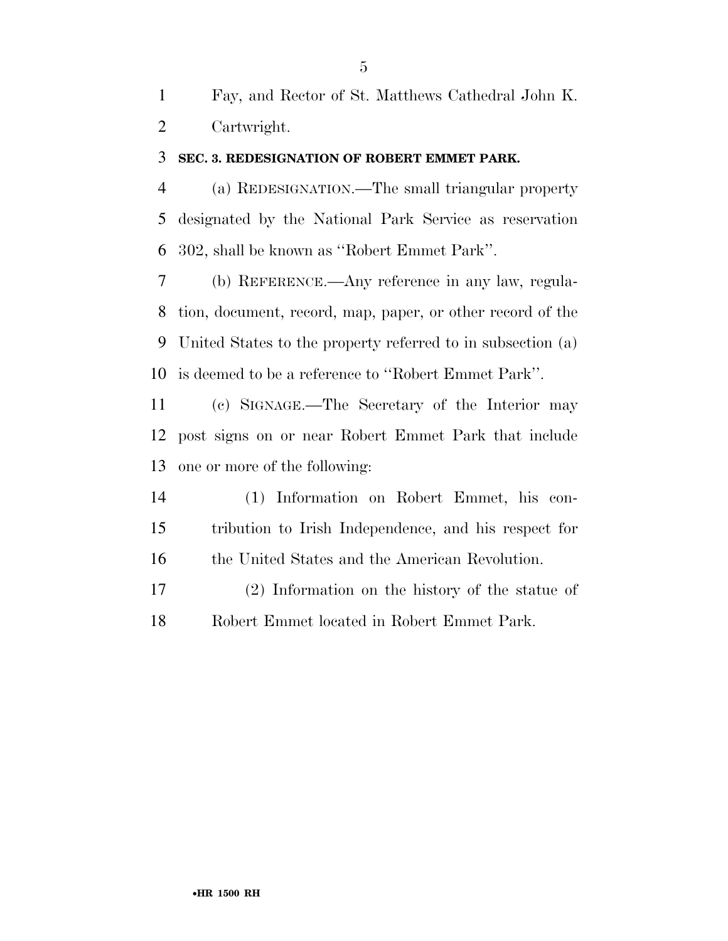Fay, and Rector of St. Matthews Cathedral John K. Cartwright.

#### **SEC. 3. REDESIGNATION OF ROBERT EMMET PARK.**

 (a) REDESIGNATION.—The small triangular property designated by the National Park Service as reservation 302, shall be known as ''Robert Emmet Park''.

 (b) REFERENCE.—Any reference in any law, regula- tion, document, record, map, paper, or other record of the United States to the property referred to in subsection (a) is deemed to be a reference to ''Robert Emmet Park''.

 (c) SIGNAGE.—The Secretary of the Interior may post signs on or near Robert Emmet Park that include one or more of the following:

 (1) Information on Robert Emmet, his con- tribution to Irish Independence, and his respect for the United States and the American Revolution.

 (2) Information on the history of the statue of Robert Emmet located in Robert Emmet Park.